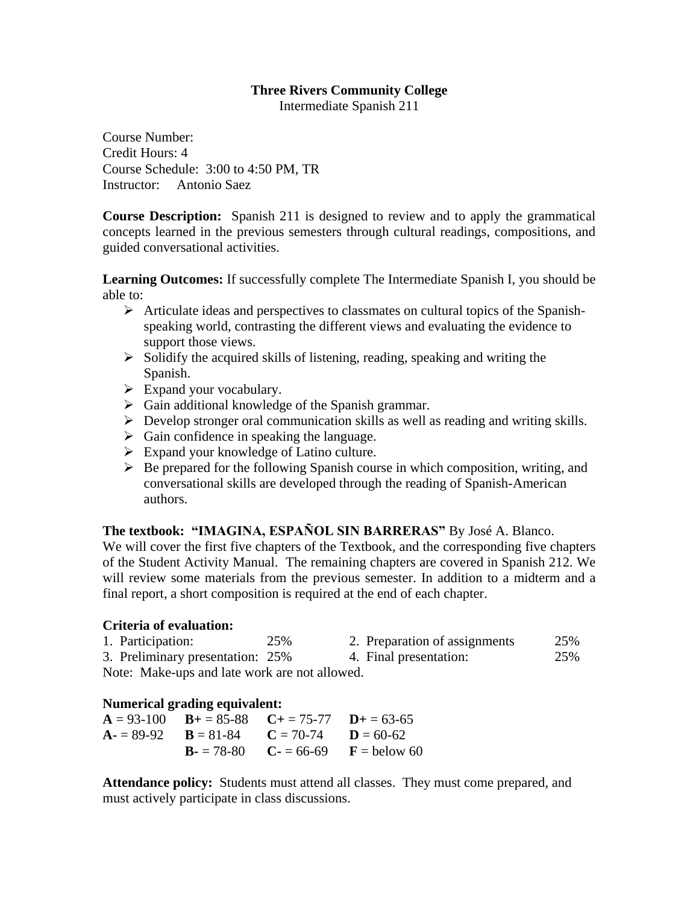## **Three Rivers Community College**

Intermediate Spanish 211

Course Number: Credit Hours: 4 Course Schedule: 3:00 to 4:50 PM, TR Instructor: Antonio Saez

**Course Description:** Spanish 211 is designed to review and to apply the grammatical concepts learned in the previous semesters through cultural readings, compositions, and guided conversational activities.

**Learning Outcomes:** If successfully complete The Intermediate Spanish I, you should be able to:

- $\triangleright$  Articulate ideas and perspectives to classmates on cultural topics of the Spanishspeaking world, contrasting the different views and evaluating the evidence to support those views.
- $\triangleright$  Solidify the acquired skills of listening, reading, speaking and writing the Spanish.
- $\triangleright$  Expand your vocabulary.
- $\triangleright$  Gain additional knowledge of the Spanish grammar.
- $\triangleright$  Develop stronger oral communication skills as well as reading and writing skills.
- $\triangleright$  Gain confidence in speaking the language.
- $\triangleright$  Expand your knowledge of Latino culture.
- $\triangleright$  Be prepared for the following Spanish course in which composition, writing, and conversational skills are developed through the reading of Spanish-American authors.

# **The textbook: "IMAGINA, ESPAÑOL SIN BARRERAS"** By José A. Blanco.

We will cover the first five chapters of the Textbook, and the corresponding five chapters of the Student Activity Manual. The remaining chapters are covered in Spanish 212. We will review some materials from the previous semester. In addition to a midterm and a final report, a short composition is required at the end of each chapter.

### **Criteria of evaluation:**

1. Participation: 25% 2. Preparation of assignments 25% 3. Preliminary presentation: 25% 4. Final presentation: 25%

Note: Make-ups and late work are not allowed.

### **Numerical grading equivalent:**

 $A = 93-100$  **B**+ = 85-88 **C**+ = 75-77 **D**+ = 63-65  $A = 89-92$   $B = 81-84$   $C = 70-74$   $D = 60-62$ **B**- $= 78-80$  **C**- $= 66-69$  **F**  $=$  below 60

**Attendance policy:** Students must attend all classes. They must come prepared, and must actively participate in class discussions.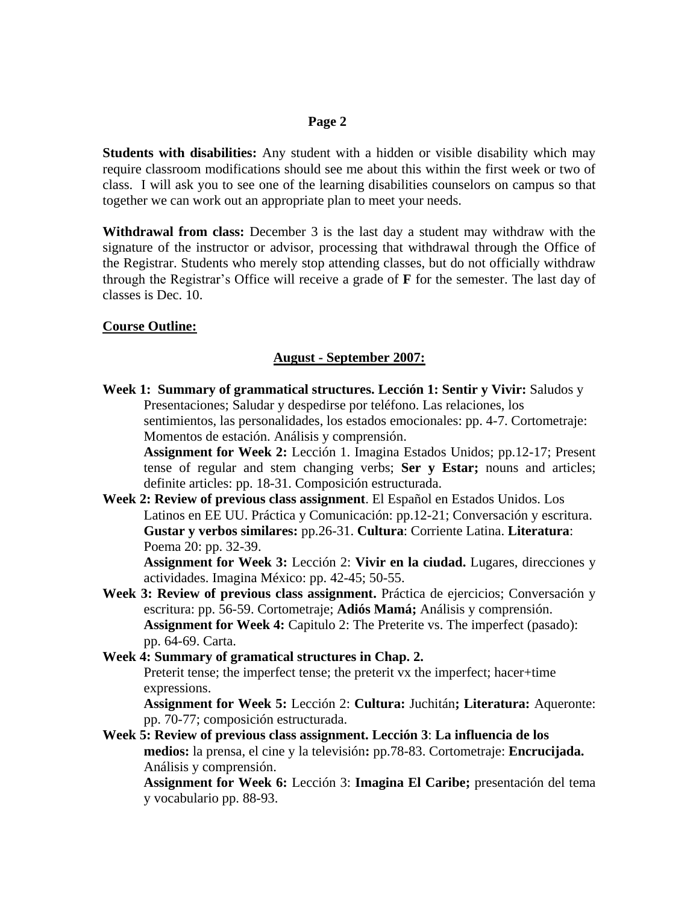### **Page 2**

**Students with disabilities:** Any student with a hidden or visible disability which may require classroom modifications should see me about this within the first week or two of class. I will ask you to see one of the learning disabilities counselors on campus so that together we can work out an appropriate plan to meet your needs.

**Withdrawal from class:** December 3 is the last day a student may withdraw with the signature of the instructor or advisor, processing that withdrawal through the Office of the Registrar. Students who merely stop attending classes, but do not officially withdraw through the Registrar's Office will receive a grade of **F** for the semester. The last day of classes is Dec. 10.

### **Course Outline:**

#### **August - September 2007:**

**Week 1: Summary of grammatical structures. Lección 1: Sentir y Vivir:** Saludos y Presentaciones; Saludar y despedirse por teléfono. Las relaciones, los sentimientos, las personalidades, los estados emocionales: pp. 4-7. Cortometraje: Momentos de estación. Análisis y comprensión. **Assignment for Week 2:** Lección 1. Imagina Estados Unidos; pp.12-17; Present tense of regular and stem changing verbs; **Ser y Estar;** nouns and articles; definite articles: pp. 18-31. Composición estructurada. **Week 2: Review of previous class assignment**. El Español en Estados Unidos. Los Latinos en EE UU. Práctica y Comunicación: pp.12-21; Conversación y escritura. **Gustar y verbos similares:** pp.26-31. **Cultura**: Corriente Latina. **Literatura**: Poema 20: pp. 32-39. **Assignment for Week 3:** Lección 2: **Vivir en la ciudad.** Lugares, direcciones y actividades. Imagina México: pp. 42-45; 50-55. **Week 3: Review of previous class assignment.** Práctica de ejercicios; Conversación y escritura: pp. 56-59. Cortometraje; **Adiós Mamá;** Análisis y comprensión. **Assignment for Week 4:** Capitulo 2: The Preterite vs. The imperfect (pasado): pp. 64-69. Carta. **Week 4: Summary of gramatical structures in Chap. 2.**

Preterit tense; the imperfect tense; the preterit vx the imperfect; hacer+time expressions.

**Assignment for Week 5:** Lección 2: **Cultura:** Juchitán**; Literatura:** Aqueronte: pp. 70-77; composición estructurada.

**Week 5: Review of previous class assignment. Lección 3**: **La influencia de los medios:** la prensa, el cine y la televisión**:** pp.78-83. Cortometraje: **Encrucijada.**  Análisis y comprensión.

**Assignment for Week 6:** Lección 3: **Imagina El Caribe;** presentación del tema y vocabulario pp. 88-93.